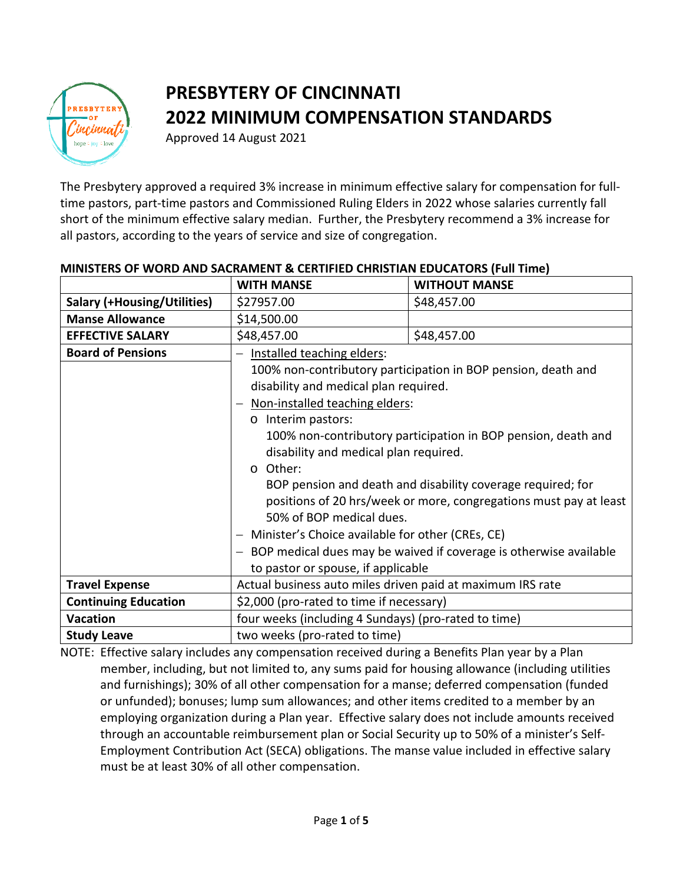

# **PRESBYTERY OF CINCINNATI 2022 MINIMUM COMPENSATION STANDARDS**

Approved 14 August 2021

The Presbytery approved a required 3% increase in minimum effective salary for compensation for fulltime pastors, part-time pastors and Commissioned Ruling Elders in 2022 whose salaries currently fall short of the minimum effective salary median. Further, the Presbytery recommend a 3% increase for all pastors, according to the years of service and size of congregation.

|                                    | <b>WITH MANSE</b>                                                   | <b>WITHOUT MANSE</b> |  |
|------------------------------------|---------------------------------------------------------------------|----------------------|--|
| <b>Salary (+Housing/Utilities)</b> | \$27957.00                                                          | \$48,457.00          |  |
| <b>Manse Allowance</b>             | \$14,500.00                                                         |                      |  |
| <b>EFFECTIVE SALARY</b>            | \$48,457.00                                                         | \$48,457.00          |  |
| <b>Board of Pensions</b>           | Installed teaching elders:                                          |                      |  |
|                                    | 100% non-contributory participation in BOP pension, death and       |                      |  |
|                                    | disability and medical plan required.                               |                      |  |
|                                    | Non-installed teaching elders:                                      |                      |  |
|                                    | o Interim pastors:                                                  |                      |  |
|                                    | 100% non-contributory participation in BOP pension, death and       |                      |  |
|                                    | disability and medical plan required.                               |                      |  |
|                                    | Other:<br>$\circ$                                                   |                      |  |
|                                    | BOP pension and death and disability coverage required; for         |                      |  |
|                                    | positions of 20 hrs/week or more, congregations must pay at least   |                      |  |
|                                    | 50% of BOP medical dues.                                            |                      |  |
|                                    | Minister's Choice available for other (CREs, CE)                    |                      |  |
|                                    | - BOP medical dues may be waived if coverage is otherwise available |                      |  |
|                                    | to pastor or spouse, if applicable                                  |                      |  |
| <b>Travel Expense</b>              | Actual business auto miles driven paid at maximum IRS rate          |                      |  |
| <b>Continuing Education</b>        | \$2,000 (pro-rated to time if necessary)                            |                      |  |
| <b>Vacation</b>                    | four weeks (including 4 Sundays) (pro-rated to time)                |                      |  |
| <b>Study Leave</b>                 | two weeks (pro-rated to time)                                       |                      |  |

# **MINISTERS OF WORD AND SACRAMENT & CERTIFIED CHRISTIAN EDUCATORS (Full Time)**

NOTE: Effective salary includes any compensation received during a Benefits Plan year by a Plan member, including, but not limited to, any sums paid for housing allowance (including utilities and furnishings); 30% of all other compensation for a manse; deferred compensation (funded or unfunded); bonuses; lump sum allowances; and other items credited to a member by an employing organization during a Plan year. Effective salary does not include amounts received through an accountable reimbursement plan or Social Security up to 50% of a minister's Self-Employment Contribution Act (SECA) obligations. The manse value included in effective salary must be at least 30% of all other compensation.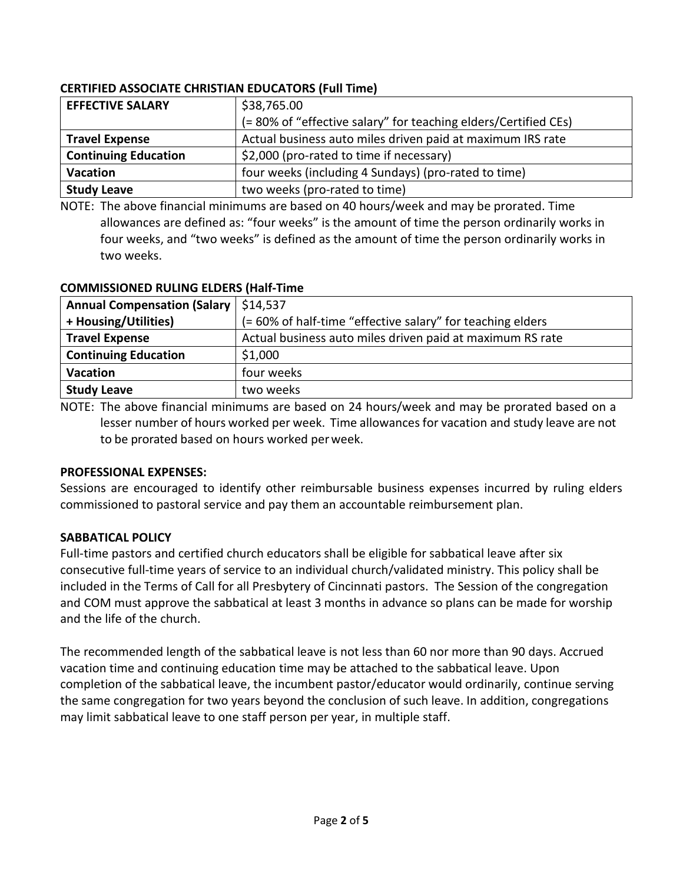# **CERTIFIED ASSOCIATE CHRISTIAN EDUCATORS (Full Time)**

| <b>EFFECTIVE SALARY</b>     | \$38,765.00                                                     |  |
|-----------------------------|-----------------------------------------------------------------|--|
|                             | (= 80% of "effective salary" for teaching elders/Certified CEs) |  |
| <b>Travel Expense</b>       | Actual business auto miles driven paid at maximum IRS rate      |  |
| <b>Continuing Education</b> | \$2,000 (pro-rated to time if necessary)                        |  |
| <b>Vacation</b>             | four weeks (including 4 Sundays) (pro-rated to time)            |  |
| <b>Study Leave</b>          | two weeks (pro-rated to time)                                   |  |

NOTE: The above financial minimums are based on 40 hours/week and may be prorated. Time allowances are defined as: "four weeks" is the amount of time the person ordinarily works in four weeks, and "two weeks" is defined as the amount of time the person ordinarily works in two weeks.

| CONTINUESTONED NOLING LEDENS (MAIL-TITLE |                                                            |  |
|------------------------------------------|------------------------------------------------------------|--|
| <b>Annual Compensation (Salary</b>       | \$14,537                                                   |  |
| + Housing/Utilities)                     | (= 60% of half-time "effective salary" for teaching elders |  |
| <b>Travel Expense</b>                    | Actual business auto miles driven paid at maximum RS rate  |  |
| <b>Continuing Education</b>              | \$1,000                                                    |  |
| <b>Vacation</b>                          | four weeks                                                 |  |
| <b>Study Leave</b>                       | two weeks                                                  |  |

#### **COMMISSIONED RULING ELDERS (Half-Time**

NOTE: The above financial minimums are based on 24 hours/week and may be prorated based on a lesser number of hours worked per week. Time allowances for vacation and study leave are not to be prorated based on hours worked perweek.

## **PROFESSIONAL EXPENSES:**

Sessions are encouraged to identify other reimbursable business expenses incurred by ruling elders commissioned to pastoral service and pay them an accountable reimbursement plan.

# **SABBATICAL POLICY**

Full-time pastors and certified church educators shall be eligible for sabbatical leave after six consecutive full-time years of service to an individual church/validated ministry. This policy shall be included in the Terms of Call for all Presbytery of Cincinnati pastors. The Session of the congregation and COM must approve the sabbatical at least 3 months in advance so plans can be made for worship and the life of the church.

The recommended length of the sabbatical leave is not less than 60 nor more than 90 days. Accrued vacation time and continuing education time may be attached to the sabbatical leave. Upon completion of the sabbatical leave, the incumbent pastor/educator would ordinarily, continue serving the same congregation for two years beyond the conclusion of such leave. In addition, congregations may limit sabbatical leave to one staff person per year, in multiple staff.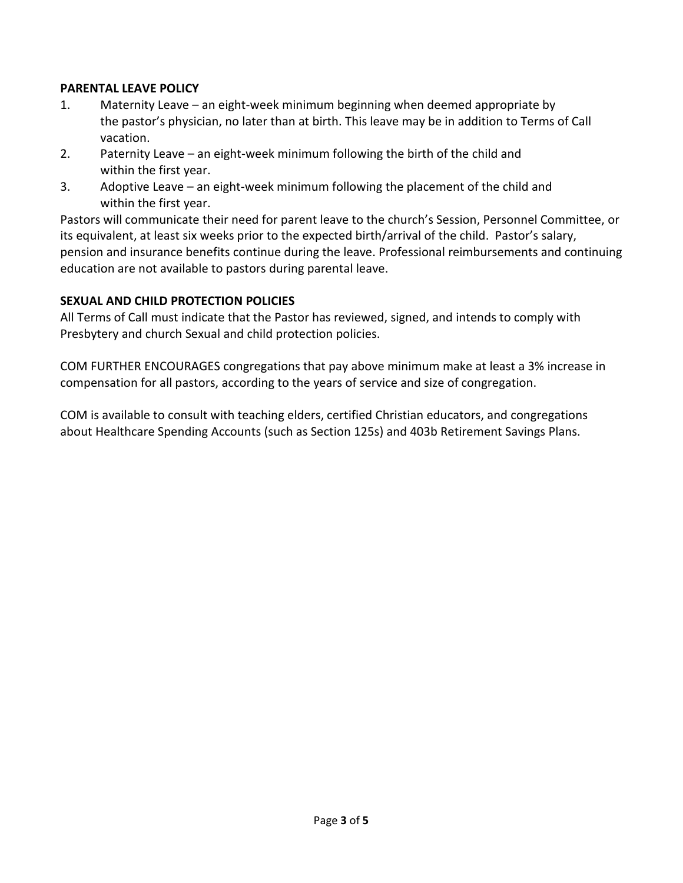## **PARENTAL LEAVE POLICY**

- 1. Maternity Leave an eight-week minimum beginning when deemed appropriate by the pastor's physician, no later than at birth. This leave may be in addition to Terms of Call vacation.
- 2. Paternity Leave an eight-week minimum following the birth of the child and within the first year.
- 3. Adoptive Leave an eight-week minimum following the placement of the child and within the first year.

Pastors will communicate their need for parent leave to the church's Session, Personnel Committee, or its equivalent, at least six weeks prior to the expected birth/arrival of the child. Pastor's salary, pension and insurance benefits continue during the leave. Professional reimbursements and continuing education are not available to pastors during parental leave.

#### **SEXUAL AND CHILD PROTECTION POLICIES**

All Terms of Call must indicate that the Pastor has reviewed, signed, and intends to comply with Presbytery and church Sexual and child protection policies.

COM FURTHER ENCOURAGES congregations that pay above minimum make at least a 3% increase in compensation for all pastors, according to the years of service and size of congregation.

COM is available to consult with teaching elders, certified Christian educators, and congregations about Healthcare Spending Accounts (such as Section 125s) and 403b Retirement Savings Plans.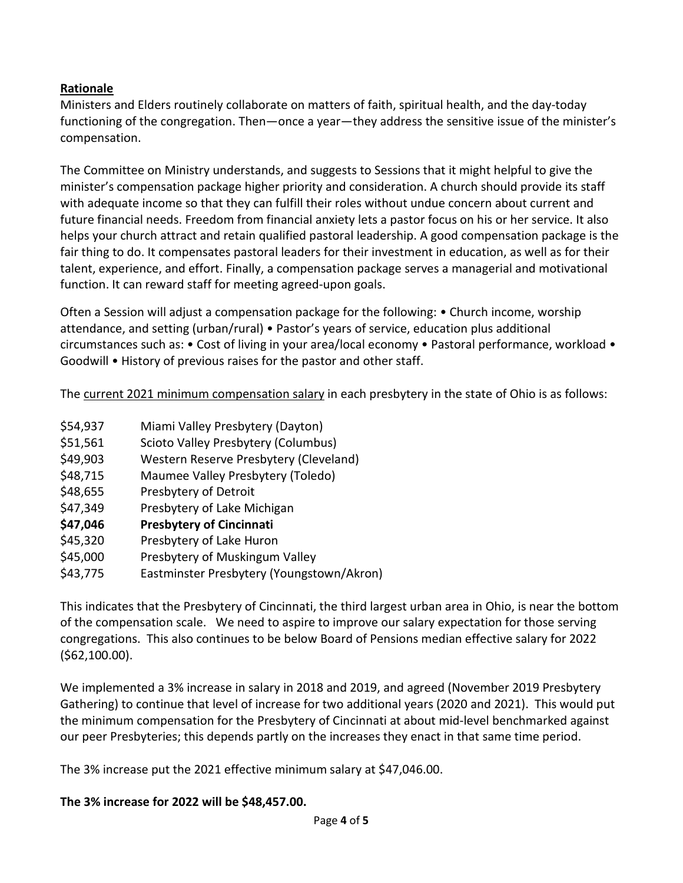## **Rationale**

Ministers and Elders routinely collaborate on matters of faith, spiritual health, and the day-today functioning of the congregation. Then—once a year—they address the sensitive issue of the minister's compensation.

The Committee on Ministry understands, and suggests to Sessions that it might helpful to give the minister's compensation package higher priority and consideration. A church should provide its staff with adequate income so that they can fulfill their roles without undue concern about current and future financial needs. Freedom from financial anxiety lets a pastor focus on his or her service. It also helps your church attract and retain qualified pastoral leadership. A good compensation package is the fair thing to do. It compensates pastoral leaders for their investment in education, as well as for their talent, experience, and effort. Finally, a compensation package serves a managerial and motivational function. It can reward staff for meeting agreed-upon goals.

Often a Session will adjust a compensation package for the following: • Church income, worship attendance, and setting (urban/rural) • Pastor's years of service, education plus additional circumstances such as: • Cost of living in your area/local economy • Pastoral performance, workload • Goodwill • History of previous raises for the pastor and other staff.

The current 2021 minimum compensation salary in each presbytery in the state of Ohio is as follows:

- \$54,937 Miami Valley Presbytery (Dayton)
- \$51,561 Scioto Valley Presbytery (Columbus)
- \$49,903 Western Reserve Presbytery (Cleveland)
- \$48,715 Maumee Valley Presbytery (Toledo)
- \$48,655 Presbytery of Detroit
- \$47,349 Presbytery of Lake Michigan
- **\$47,046 Presbytery of Cincinnati**
- \$45,320 Presbytery of Lake Huron
- \$45,000 Presbytery of Muskingum Valley
- \$43,775 Eastminster Presbytery (Youngstown/Akron)

This indicates that the Presbytery of Cincinnati, the third largest urban area in Ohio, is near the bottom of the compensation scale. We need to aspire to improve our salary expectation for those serving congregations. This also continues to be below Board of Pensions median effective salary for 2022 (\$62,100.00).

We implemented a 3% increase in salary in 2018 and 2019, and agreed (November 2019 Presbytery Gathering) to continue that level of increase for two additional years (2020 and 2021). This would put the minimum compensation for the Presbytery of Cincinnati at about mid-level benchmarked against our peer Presbyteries; this depends partly on the increases they enact in that same time period.

The 3% increase put the 2021 effective minimum salary at \$47,046.00.

## **The 3% increase for 2022 will be \$48,457.00.**